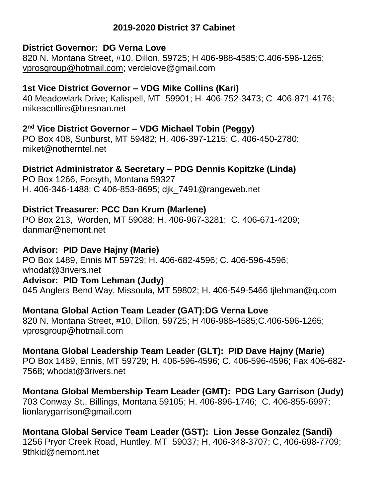## **2019-2020 District 37 Cabinet**

#### **District Governor: DG Verna Love**

820 N. Montana Street, #10, Dillon, 59725; H 406-988-4585;C.406-596-1265; [vprosgroup@hotmail.com;](about:blank) verdelove@gmail.com

#### **1st Vice District Governor – VDG Mike Collins (Kari)**

40 Meadowlark Drive; Kalispell, MT 59901; H 406-752-3473; C 406-871-4176; mikeacollins@bresnan.net

#### **2 nd Vice District Governor – VDG Michael Tobin (Peggy)**

PO Box 408, Sunburst, MT 59482; H. 406-397-1215; C. 406-450-2780; miket@notherntel.net

## **District Administrator & Secretary – PDG Dennis Kopitzke (Linda)**

PO Box 1266, Forsyth, Montana 59327 H. 406-346-1488; C 406-853-8695; djk\_7491@rangeweb.net

#### **District Treasurer: PCC Dan Krum (Marlene)**

PO Box 213, Worden, MT 59088; H. 406-967-3281; C. 406-671-4209; danmar@nemont.net

#### **Advisor: PID Dave Hajny (Marie)**

PO Box 1489, Ennis MT 59729; H. 406-682-4596; C. 406-596-4596; whodat@3rivers.net **Advisor: PID Tom Lehman (Judy)** 045 Anglers Bend Way, Missoula, MT 59802; H. 406-549-5466 tjlehman@q.com

#### **Montana Global Action Team Leader (GAT):DG Verna Love**

820 N. Montana Street, #10, Dillon, 59725; H 406-988-4585;C.406-596-1265; vprosgroup@hotmail.com

#### **Montana Global Leadership Team Leader (GLT): PID Dave Hajny (Marie)**

PO Box 1489, Ennis, MT 59729; H. 406-596-4596; C. 406-596-4596; Fax 406-682- 7568; whodat@3rivers.net

# **Montana Global Membership Team Leader (GMT): PDG Lary Garrison (Judy)**

703 Conway St., Billings, Montana 59105; H. 406-896-1746; C. 406-855-6997; lionlarygarrison@gmail.com

## **Montana Global Service Team Leader (GST): Lion Jesse Gonzalez (Sandi)**

1256 Pryor Creek Road, Huntley, MT 59037; H, 406-348-3707; C, 406-698-7709; 9thkid@nemont.net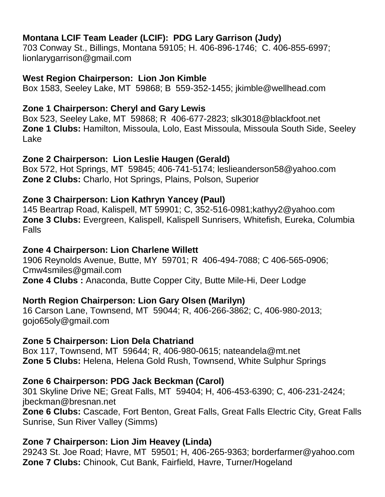# **Montana LCIF Team Leader (LCIF): PDG Lary Garrison (Judy)**

703 Conway St., Billings, Montana 59105; H. 406-896-1746; C. 406-855-6997; lionlarygarrison@gmail.com

## **West Region Chairperson: Lion Jon Kimble**

Box 1583, Seeley Lake, MT 59868; B 559-352-1455; jkimble@wellhead.com

# **Zone 1 Chairperson: Cheryl and Gary Lewis**

Box 523, Seeley Lake, MT 59868; R 406-677-2823; slk3018@blackfoot.net **Zone 1 Clubs:** Hamilton, Missoula, Lolo, East Missoula, Missoula South Side, Seeley Lake

## **Zone 2 Chairperson: Lion Leslie Haugen (Gerald)**

Box 572, Hot Springs, MT 59845; 406-741-5174; leslieanderson58@yahoo.com **Zone 2 Clubs:** Charlo, Hot Springs, Plains, Polson, Superior

# **Zone 3 Chairperson: Lion Kathryn Yancey (Paul)**

145 Beartrap Road, Kalispell, MT 59901; C, 352-516-0981;kathyy2@yahoo.com **Zone 3 Clubs:** Evergreen, Kalispell, Kalispell Sunrisers, Whitefish, Eureka, Columbia Falls

## **Zone 4 Chairperson: Lion Charlene Willett**

1906 Reynolds Avenue, Butte, MY 59701; R 406-494-7088; C 406-565-0906; Cmw4smiles@gmail.com **Zone 4 Clubs :** Anaconda, Butte Copper City, Butte Mile-Hi, Deer Lodge

## **North Region Chairperson: Lion Gary Olsen (Marilyn)**

16 Carson Lane, Townsend, MT 59044; R, 406-266-3862; C, 406-980-2013; gojo65oly@gmail.com

## **Zone 5 Chairperson: Lion Dela Chatriand**

Box 117, Townsend, MT 59644; R, 406-980-0615; nateandela@mt.net **Zone 5 Clubs:** Helena, Helena Gold Rush, Townsend, White Sulphur Springs

## **Zone 6 Chairperson: PDG Jack Beckman (Carol)**

301 Skyline Drive NE; Great Falls, MT 59404; H, 406-453-6390; C, 406-231-2424; jbeckman@bresnan.net

**Zone 6 Clubs:** Cascade, Fort Benton, Great Falls, Great Falls Electric City, Great Falls Sunrise, Sun River Valley (Simms)

## **Zone 7 Chairperson: Lion Jim Heavey (Linda)**

29243 St. Joe Road; Havre, MT 59501; H, 406-265-9363; borderfarmer@yahoo.com **Zone 7 Clubs:** Chinook, Cut Bank, Fairfield, Havre, Turner/Hogeland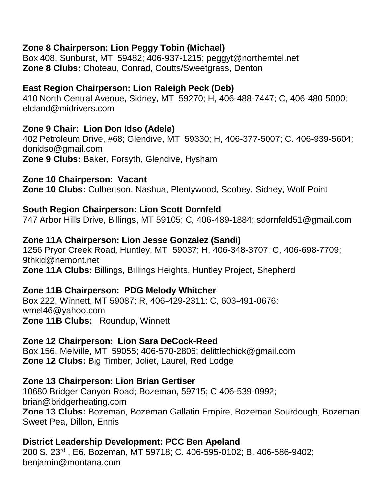## **Zone 8 Chairperson: Lion Peggy Tobin (Michael)**

Box 408, Sunburst, MT 59482; 406-937-1215; peggyt@northerntel.net **Zone 8 Clubs:** Choteau, Conrad, Coutts/Sweetgrass, Denton

### **East Region Chairperson: Lion Raleigh Peck (Deb)**

410 North Central Avenue, Sidney, MT 59270; H, 406-488-7447; C, 406-480-5000; elcland@midrivers.com

## **Zone 9 Chair: Lion Don Idso (Adele)**

402 Petroleum Drive, #68; Glendive, MT 59330; H, 406-377-5007; C. 406-939-5604; donidso@gmail.com **Zone 9 Clubs:** Baker, Forsyth, Glendive, Hysham

#### **Zone 10 Chairperson: Vacant**

**Zone 10 Clubs:** Culbertson, Nashua, Plentywood, Scobey, Sidney, Wolf Point

#### **South Region Chairperson: Lion Scott Dornfeld**

747 Arbor Hills Drive, Billings, MT 59105; C, 406-489-1884; sdornfeld51@gmail.com

#### **Zone 11A Chairperson: Lion Jesse Gonzalez (Sandi)**

1256 Pryor Creek Road, Huntley, MT 59037; H, 406-348-3707; C, 406-698-7709; 9thkid@nemont.net **Zone 11A Clubs:** Billings, Billings Heights, Huntley Project, Shepherd

#### **Zone 11B Chairperson: PDG Melody Whitcher**

Box 222, Winnett, MT 59087; R, 406-429-2311; C, 603-491-0676; wmel46@yahoo.com **Zone 11B Clubs:** Roundup, Winnett

#### **Zone 12 Chairperson: Lion Sara DeCock-Reed**

Box 156, Melville, MT 59055; 406-570-2806; delittlechick@gmail.com **Zone 12 Clubs:** Big Timber, Joliet, Laurel, Red Lodge

#### **Zone 13 Chairperson: Lion Brian Gertiser**

10680 Bridger Canyon Road; Bozeman, 59715; C 406-539-0992; brian@bridgerheating.com **Zone 13 Clubs:** Bozeman, Bozeman Gallatin Empire, Bozeman Sourdough, Bozeman Sweet Pea, Dillon, Ennis

#### **District Leadership Development: PCC Ben Apeland**

200 S. 23rd , E6, Bozeman, MT 59718; C. 406-595-0102; B. 406-586-9402; benjamin@montana.com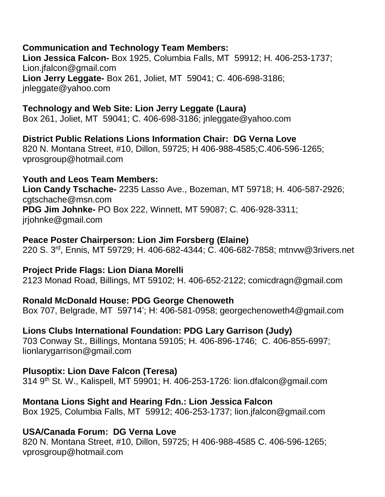## **Communication and Technology Team Members:**

**Lion Jessica Falcon-** Box 1925, Columbia Falls, MT 59912; H. 406-253-1737; Lion.jfalcon@gmail.com **Lion Jerry Leggate-** Box 261, Joliet, MT 59041; C. 406-698-3186; jnleggate@yahoo.com

## **Technology and Web Site: Lion Jerry Leggate (Laura)**

Box 261, Joliet, MT 59041; C. 406-698-3186; jnleggate@yahoo.com

**District Public Relations Lions Information Chair: DG Verna Love** 820 N. Montana Street, #10, Dillon, 59725; H 406-988-4585;C.406-596-1265; vprosgroup@hotmail.com

#### **Youth and Leos Team Members:**

**Lion Candy Tschache-** 2235 Lasso Ave., Bozeman, MT 59718; H. 406-587-2926; cgtschache@msn.com **PDG Jim Johnke-** PO Box 222, Winnett, MT 59087; C. 406-928-3311; jrjohnke@gmail.com

## **Peace Poster Chairperson: Lion Jim Forsberg (Elaine)**

220 S. 3rd, Ennis, MT 59729; H. 406-682-4344; C. 406-682-7858; mtnvw@3rivers.net

#### **Project Pride Flags: Lion Diana Morelli**

2123 Monad Road, Billings, MT 59102; H. 406-652-2122; comicdragn@gmail.com

#### **Ronald McDonald House: PDG George Chenoweth**

Box 707, Belgrade, MT 59714'; H: 406-581-0958; georgechenoweth4@gmail.com

#### **Lions Clubs International Foundation: PDG Lary Garrison (Judy)**

703 Conway St., Billings, Montana 59105; H. 406-896-1746; C. 406-855-6997; lionlarygarrison@gmail.com

#### **Plusoptix: Lion Dave Falcon (Teresa)**

314 9th St. W., Kalispell, MT 59901; H. 406-253-1726: lion.dfalcon@gmail.com

#### **Montana Lions Sight and Hearing Fdn.: Lion Jessica Falcon**

Box 1925, Columbia Falls, MT 59912; 406-253-1737; lion.jfalcon@gmail.com

## **USA/Canada Forum: DG Verna Love**

820 N. Montana Street, #10, Dillon, 59725; H 406-988-4585 C. 406-596-1265; vprosgroup@hotmail.com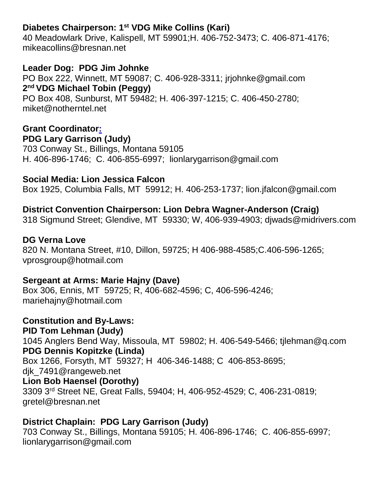# **Diabetes Chairperson: 1 st VDG Mike Collins (Kari)**

40 Meadowlark Drive, Kalispell, MT 59901;H. 406-752-3473; C. 406-871-4176; mikeacollins@bresnan.net

**Leader Dog: PDG Jim Johnke** PO Box 222, Winnett, MT 59087; C. 406-928-3311; jrjohnke@gmail.com **2 nd VDG Michael Tobin (Peggy)** PO Box 408, Sunburst, MT 59482; H. 406-397-1215; C. 406-450-2780; miket@notherntel.net

## **Grant Coordinator: PDG Lary Garrison (Judy)**

703 Conway St., Billings, Montana 59105 H. 406-896-1746; C. 406-855-6997; lionlarygarrison@gmail.com

## **Social Media: Lion Jessica Falcon**

Box 1925, Columbia Falls, MT 59912; H. 406-253-1737; lion.jfalcon@gmail.com

## **District Convention Chairperson: Lion Debra Wagner-Anderson (Craig)**

318 Sigmund Street; Glendive, MT 59330; W, 406-939-4903; djwads@midrivers.com

#### **DG Verna Love**

820 N. Montana Street, #10, Dillon, 59725; H 406-988-4585;C.406-596-1265; vprosgroup@hotmail.com

#### **Sergeant at Arms: Marie Hajny (Dave)**

Box 306, Ennis, MT 59725; R, 406-682-4596; C, 406-596-4246; mariehajny@hotmail.com

**Constitution and By-Laws: PID Tom Lehman (Judy)** 1045 Anglers Bend Way, Missoula, MT 59802; H. 406-549-5466; tjlehman@q.com **PDG Dennis Kopitzke (Linda)** Box 1266, Forsyth, MT 59327; H 406-346-1488; C 406-853-8695; djk\_7491@rangeweb.net **Lion Bob Haensel (Dorothy)** 3309 3rd Street NE, Great Falls, 59404; H, 406-952-4529; C, 406-231-0819; gretel@bresnan.net

#### **District Chaplain: PDG Lary Garrison (Judy)**

703 Conway St., Billings, Montana 59105; H. 406-896-1746; C. 406-855-6997; lionlarygarrison@gmail.com